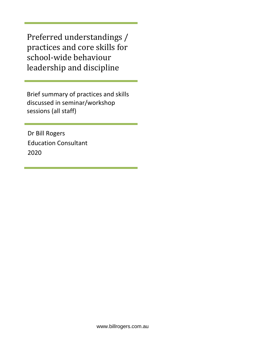Preferred understandings / practices and core skills for school-wide behaviour leadership and discipline

Brief summary of practices and skills discussed in seminar/workshop sessions (all staff)

Dr Bill Rogers Education Consultant 2020

www.billrogers.com.au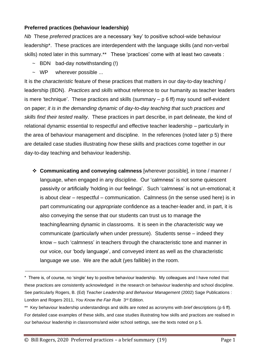## **Preferred practices (behaviour leadership)**

*Nb* These *preferred* practices are a necessary 'key' to positive school-wide behaviour leadership\*. These practices are interdependent with the language skills (and non-verbal skills) noted later in this summary.\*\* These 'practices' come with at least two caveats :

- $\sim$  BDN bad-day notwithstanding (!)
- ~ WP wherever possible ...

It is the *characteristic* feature of these practices that matters in our day-to-day teaching / leadership (BDN). *Practices* and *skills* without reference to our humanity as teacher leaders is mere 'technique'. These practices and skills (summary – p 6 ff) may sound self-evident on paper; *it is in the demanding dynamic of day-to-day teaching that such practices and skills find their tested reality*. These practices in part describe, in part delineate, the kind of relational dynamic essential to respectful and effective teacher leadership – particularly in the area of behaviour management and discipline. In the references (noted later p 5) there are detailed case studies illustrating *how* these skills and practices come together in our day-to-day teaching and behaviour leadership.

❖ **Communicating and conveying calmness** [wherever possible], in tone / manner / language, when engaged in any discipline. Our 'calmness' is not some quiescent passivity or artificially 'holding in our feelings'. Such 'calmness' is not un-emotional; it is about clear – respectful – communication. Calmness (in the sense used here) is in part communicating our *appropriate* confidence as a teacher-leader and, in part, it is also conveying the sense that our students can trust us to manage the teaching/learning dynamic in classrooms. It is seen in the *characteristic* way we communicate (particularly when under pressure). Students sense – indeed they know – such 'calmness' in teachers through the characteristic tone and manner in our voice, our 'body language', and conveyed intent as well as the characteristic language we use. We are the adult (yes fallible) in the room.

<sup>\*</sup> There is, of course, no 'single' key to positive behaviour leadership. My colleagues and I have noted that these practices are consistently acknowledged in the research on behaviour leadership and school discipline. See particularly Rogers, B. (Ed) *Teacher Leadership and Behaviour Management* (2002) Sage Publications : London and Rogers 2011, You Know the Fair Rule 3<sup>rd</sup> Edition.

<sup>\*\*</sup> Key behaviour leadership understandings and skills are noted as acronyms with *brief* descriptions (p 6 ff). For detailed case examples of these skills, and case studies illustrating how skills and practices are realised in our behaviour leadership in classrooms/and wider school settings, see the texts noted on p 5.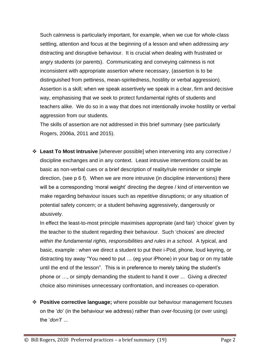Such calmness is particularly important, for example, when we cue for whole-class settling, attention and focus at the beginning of a lesson and when addressing *any* distracting and disruptive behaviour. It is crucial when dealing with frustrated or angry students (or parents). Communicating and conveying calmness is not inconsistent with appropriate assertion where necessary, (assertion is to be distinguished from pettiness, mean-spiritedness, hostility or verbal aggression). Assertion is a skill; when we speak assertively we speak in a clear, firm and decisive way, emphasising that we seek to protect fundamental rights of students and teachers alike. We do so in a way that does not intentionally invoke hostility or verbal aggression from our students.

The skills of assertion are not addressed in this brief summary (see particularly Rogers, 2006a, 2011 and 2015).

❖ **Least To Most Intrusive** [wherever possible] when intervening into any corrective / discipline exchanges and in any context. Least intrusive interventions could be as basic as non-verbal cues or a brief description of reality/rule reminder or simple direction, (see p 6 f). When we are more intrusive (in discipline interventions) there will be a corresponding 'moral weight' directing the degree / kind of intervention we make regarding behaviour issues such as *repetitive* disruptions; or any situation of potential safety concern; or a student behaving aggressively, dangerously or abusively.

In effect the least-to-most principle maximises appropriate (and fair) 'choice' given by the teacher to the student regarding their behaviour. Such 'choices' are *directed within the fundamental rights, responsibilities and rules in a school.* A typical, and basic, example : when we direct a student to put their i-Pod, phone, loud keyring, or distracting toy away "You need to put … (eg your iPhone) in your bag or on my table until the end of the lesson". This is in preference to merely taking the student's phone or …, or simply demanding the student to hand it over ... Giving a *directed* choice also minimises unnecessary confrontation, and increases co-operation.

❖ **Positive corrective language;** where possible our behaviour management focuses on the '*do*' (in the behaviour we address) rather than over-focusing (or over using) the '*don't*' ...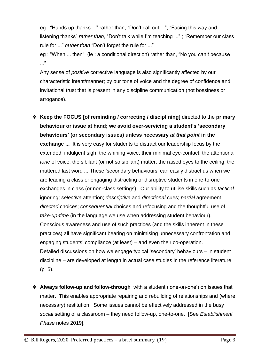eg : "Hands up thanks ..." rather than, "Don't call out ..."; "Facing this way and listening thanks" *rather than*, "Don't talk while I'm teaching ..." ; "Remember our class rule for ..." *rather than* "Don't forget the rule for ..."

eg : "When ... then", (ie : a conditional direction) rather than, "No you can't because ..."

Any sense of *positive* corrective language is also significantly affected by our characteristic intent/manner; by our tone of voice and the degree of confidence and invitational trust that is present in any discipline communication (not bossiness or arrogance).

- ❖ **Keep the FOCUS [of reminding / correcting / disciplining]** directed to the **primary behaviour or issue at hand; we avoid over-servicing a student's 'secondary behaviours' (or secondary issues) unless necessary** *at that point* **in the exchange ...** It is very easy for students to distract our leadership focus by the extended, indulgent sigh; the whining voice; their minimal eye-contact; the attentional *tone* of voice; the sibilant (or not so sibilant) mutter; the raised eyes to the ceiling; the muttered last word ... These 'secondary behaviours' can easily distract us when we are leading a class or engaging distracting or disruptive students in one-to-one exchanges in class (or non-class settings). Our ability to utilise skills such as *tactical*  ignoring; *selective* attention; *descriptive* and *directional* cues; *partial* agreement; *directed* choices; *consequential* choices and refocusing and the thoughtful use of *take-up-time* (in the language we use when addressing student behaviour). Conscious awareness and use of such practices (and the skills inherent in these practices) all have significant bearing on minimising unnecessary confrontation and engaging students' compliance (at least) – and even their co-operation. Detailed discussions on how we engage typical 'secondary' behaviours – in student discipline – are developed at length in actual case studies in the reference literature (p 5).
- ❖ **Always follow-up and follow-through** with a student ('one-on-one') on issues that matter. This enables appropriate repairing and rebuilding of relationships and (where necessary) restitution. Some issues cannot be effectively addressed in the busy *social* setting of a classroom – they need follow-up, one-to-one. [See *Establishment Phase* notes 2019].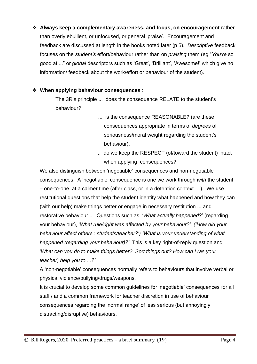❖ **Always keep a complementary awareness, and focus, on encouragement** rather than overly ebullient, or unfocused, or general 'praise'. Encouragement and feedback are discussed at length in the books noted later (p 5). *Descriptive* feedback focuses on the *student's* effort/behaviour rather than on *praising* them (eg "*You're* so good at ..." or *global* descriptors such as 'Great', 'Brilliant', 'Awesome!' which give no information/ feedback about the work/effort or behaviour of the student).

## ❖ **When applying behaviour consequences** :

The 3R's principle ... does the consequence RELATE to the student's behaviour?

- ... is the consequence REASONABLE? (are these consequences appropriate in terms of *degrees* of seriousness/moral weight regarding the student's behaviour).
- ... do we keep the RESPECT (of/toward the student) intact when applying consequences?

We also distinguish between 'negotiable' consequences and non-negotiable consequences. A 'negotiable' consequence is one we work through *with* the student – one-to-one, at a calmer time (after class, or in a detention context …). We use restitutional questions that help the student identify what happened and how they can (with our help) make things better or engage in necessary restitution ... and restorative behaviour ... Questions such as: '*What actually happened*?' (regarding your behaviour), '*What rule/right was affected by your behaviour?', ('How did your behaviour affect others : students/teacher?') 'What is your understanding of what happened (regarding your behaviour)?'* This is a key right-of-reply question and '*What can you do to make things better? Sort things out? How can I (as your teacher) help you to ...?'*

A 'non-negotiable' consequences normally refers to behaviours that involve verbal or physical violence/bullying/drugs/weapons.

It is crucial to develop some common guidelines for 'negotiable' consequences for all staff / and a common framework for teacher discretion in use of behaviour consequences regarding the 'normal range' of less serious (but annoyingly distracting/disruptive) behaviours.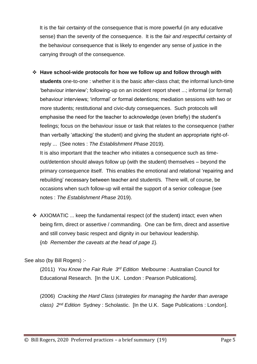It is the fair *certainty* of the consequence that is more powerful (in any educative sense) than the *severity* of the consequence. It is the *fair and respectful certainty* of the behaviour consequence that is likely to engender any sense of justice in the carrying through of the consequence.

- ❖ **Have school-wide protocols for how we follow up and follow through with students** one-to-one : whether it is the basic after-class chat; the informal lunch-time 'behaviour interview'; following-up on an incident report sheet ...; informal (or formal) behaviour interviews; 'informal' or formal detentions; mediation sessions with two or more students; restitutional and civic-duty consequences. Such protocols will emphasise the need for the teacher to acknowledge (even briefly) the student's feelings; focus on the behaviour issue or task that relates to the consequence (rather than verbally 'attacking' the student) and giving the student an appropriate right-ofreply ... (See notes : *The Establishment Phase* 2019). It is also important that the teacher who initiates a consequence such as timeout/detention should always follow up (with the student) themselves – beyond the primary consequence itself. This enables the emotional and relational 'repairing and rebuilding' necessary between teacher and student/s. There will, of course, be occasions when such follow-up will entail the support of a senior colleague (see
- ❖ AXIOMATIC ... keep the fundamental respect (of the student) intact; even when being firm, direct or assertive / commanding. One can be firm, direct and assertive and still convey basic respect and dignity in our behaviour leadership. {*nb Remember the caveats at the head of page 1*}*.*

See also (by Bill Rogers) :-

(2011) *You Know the Fair Rule 3 rd Edition* Melbourne : Australian Council for Educational Research. [In the U.K. London : Pearson Publications].

(2006) *Cracking the Hard Class* (*strategies for managing the harder than average class) 2nd Edition* Sydney : Scholastic. [In the U.K. Sage Publications : London].

notes : *The Establishment Phase* 2019).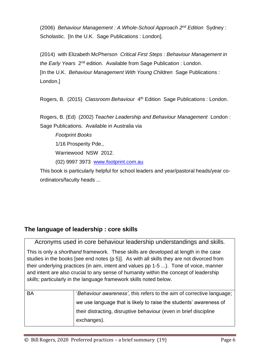(2006) *Behaviour Management : A Whole-School Approach 2 nd Edition* Sydney : Scholastic. In the U.K. Sage Publications : Londonl.

(2014) with Elizabeth McPherson *Critical First Steps : Behaviour Management in*  the Early Years 2<sup>nd</sup> edition. Available from Sage Publication : London. [In the U.K. *Behaviour Management With Young Children* Sage Publications : London.]

Rogers, B. (2015) Classroom Behaviour 4<sup>th</sup> Edition Sage Publications : London.

Rogers, B. (Ed) (2002) *Teacher Leadership and Behaviour Management* London : Sage Publications. Available in Australia via

*Footprint Books* 1/16 Prosperity Pde., Warriewood NSW 2012. (02) 9997 3973 [www.footprint.com.au](http://www.footprint.com.au/)

This book is particularly helpful for school leaders and year/pastoral heads/year coordinators/faculty heads ...

## **The language of leadership : core skills**

Acronyms used in core behaviour leadership understandings and skills.

This is only a *shorthand* framework*.* These skills are developed at length in the case studies in the books [see end notes (p 5)]. As with all skills they are not divorced from their underlying practices (in aim, intent and values pp 1-5 ...). Tone of voice, manner and intent are also crucial to any sense of humanity within the concept of leadership *skills*; particularly in the language framework skills noted below.

| BA | 'Behaviour awareness', this refers to the aim of corrective language; |
|----|-----------------------------------------------------------------------|
|    | we use language that is likely to raise the students' awareness of    |
|    | their distracting, disruptive behaviour (even in brief discipline     |
|    | exchanges).                                                           |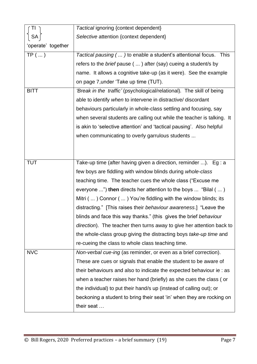|                    | Tactical ignoring {context dependent}                                         |
|--------------------|-------------------------------------------------------------------------------|
| <b>SA</b>          | Selective attention {context dependent}                                       |
| 'operate' together |                                                                               |
| $TP$ ()            | Tactical pausing (  ) to enable a student's attentional focus.<br><b>This</b> |
|                    | refers to the brief pause (  ) after (say) cueing a student/s by              |
|                    | name. It allows a cognitive take-up (as it were). See the example             |
|                    | on page 7, under 'Take up time (TUT).                                         |
| <b>BITT</b>        | 'Break in the traffic' (psychological/relational). The skill of being         |
|                    | able to identify when to intervene in distractive/ discordant                 |
|                    | behaviours particularly in whole-class settling and focusing, say             |
|                    | when several students are calling out while the teacher is talking. It        |
|                    | is akin to 'selective attention' and 'tactical pausing'. Also helpful         |
|                    | when communicating to overly garrulous students                               |
|                    |                                                                               |
|                    |                                                                               |
| <b>TUT</b>         | Take-up time (after having given a direction, reminder ). Eg: a               |
|                    | few boys are fiddling with window blinds during whole-class                   |
|                    | teaching time. The teacher cues the whole class ("Excuse me                   |
|                    | everyone ") then directs her attention to the boys  "Bilal (  )               |
|                    | Mitri (  ) Connor (  ) You're fiddling with the window blinds; its            |
|                    | distracting." [This raises their behaviour awareness.] "Leave the             |
|                    | blinds and face this way thanks." (this gives the brief behaviour             |
|                    | direction). The teacher then turns away to give her attention back to         |
|                    | the whole-class group giving the distracting boys take-up time and            |
|                    | re-cueing the class to whole class teaching time.                             |
| <b>NVC</b>         | Non-verbal cue-ing (as reminder, or even as a brief correction).              |
|                    | These are cues or signals that enable the student to be aware of              |
|                    | their behaviours and also to indicate the expected behaviour ie: as           |
|                    | when a teacher raises her hand (briefly) as she cues the class (or            |
|                    | the individual) to put their hand/s up (instead of calling out); or           |
|                    | beckoning a student to bring their seat 'in' when they are rocking on         |
|                    | their seat                                                                    |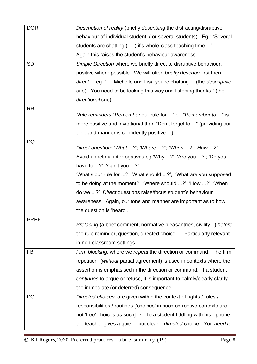| <b>DOR</b> | Description of reality (briefly describing the distracting/disruptive       |
|------------|-----------------------------------------------------------------------------|
|            | behaviour of individual student / or several students). Eg : "Several       |
|            | students are chatting (  ) it's whole-class teaching time " -               |
|            | Again this raises the student's behaviour awareness.                        |
| <b>SD</b>  | Simple Direction where we briefly direct to disruptive behaviour;           |
|            | positive where possible. We will often briefly describe first then          |
|            | direct  eg "  Michelle and Lisa you're chatting  (the descriptive           |
|            | cue). You need to be looking this way and listening thanks." (the           |
|            | directional cue).                                                           |
| <b>RR</b>  |                                                                             |
|            | Rule reminders "Remember our rule for " or "Remember to " is                |
|            | more positive and invitational than "Don't forget to " (providing our       |
| DQ         | tone and manner is confidently positive ).                                  |
|            | Direct question: 'What ?'; 'Where ?'; 'When ?'; 'How ?'.                    |
|            | Avoid unhelpful interrogatives eg 'Why ?'; 'Are you ?'; 'Do you             |
|            | have to $\ldots$ ?'; 'Can't you $\ldots$ ?'.                                |
|            | 'What's our rule for ?, 'What should ?', 'What are you supposed             |
|            | to be doing at the moment?', 'Where should ?', 'How ?', 'When               |
|            | do we ?' Direct questions raise/focus student's behaviour                   |
|            | awareness. Again, our tone and manner are important as to how               |
|            | the question is 'heard'.                                                    |
| PREF.      | <i>Prefacing</i> (a brief comment, normative pleasantries, civility) before |
|            | the rule reminder, question, directed choice  Particularly relevant         |
|            | in non-classroom settings.                                                  |
| <b>FB</b>  | Firm blocking, where we repeat the direction or command. The firm           |
|            | repetition (without partial agreement) is used in contexts where the        |
|            | assertion is emphasised in the direction or command. If a student           |
|            | continues to argue or refuse, it is important to calmly/clearly clarify     |
|            | the immediate (or deferred) consequence.                                    |
| <b>DC</b>  | Directed choices are given within the context of rights / rules /           |
|            | responsibilities / routines ['choices' in such corrective contexts are      |
|            | not 'free' choices as such] ie : To a student fiddling with his I-phone;    |
|            | the teacher gives a quiet - but clear - directed choice, "You need to       |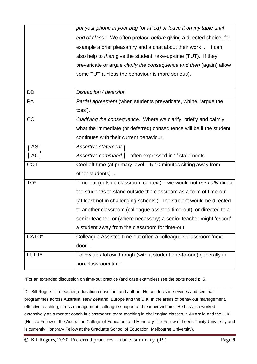|            | non-classroom time.                                                          |
|------------|------------------------------------------------------------------------------|
| FUFT*      | door'<br>Follow up / follow through (with a student one-to-one) generally in |
| CATO*      | Colleague Assisted time-out often a colleague's classroom 'next              |
|            | a student away from the classroom for time-out.                              |
|            | senior teacher, or (where necessary) a senior teacher might 'escort'         |
|            | to another classroom (colleague assisted time-out), or directed to a         |
|            | (at least not in challenging schools!) The student would be directed         |
|            | the student/s to stand outside the classroom as a form of time-out           |
| TO*        | Time-out (outside classroom context) – we would not <i>normally</i> direct   |
|            | other students)                                                              |
| <b>COT</b> | Cool-off-time (at primary level - 5-10 minutes sitting away from             |
| АC         | Assertive command  <br>often expressed in 'I' statements                     |
| $AS^-$     | Assertive statement                                                          |
|            | continues with their current behaviour.                                      |
|            | what the immediate (or deferred) consequence will be if the student          |
| CC         | Clarifying the consequence. Where we clarify, briefly and calmly,            |
|            | toss').                                                                      |
| <b>PA</b>  | <i>Partial agreement</i> (when students prevaricate, whine, 'argue the       |
| <b>DD</b>  | Distraction / diversion                                                      |
|            |                                                                              |
|            | some TUT (unless the behaviour is more serious).                             |
|            | prevaricate or argue clarify the consequence and then (again) allow          |
|            | also help to <i>then</i> give the student take-up-time (TUT). If they        |
|            | example a brief pleasantry and a chat about their work  It can               |
|            | end of class." We often preface before giving a directed choice; for         |
|            | put your phone in your bag (or i-Pod) or leave it on my table until          |

\*For an extended discussion on time-out practice (and case examples) see the texts noted p. 5.

Dr. Bill Rogers is a teacher, education consultant and author. He conducts in-services and seminar programmes across Australia, New Zealand, Europe and the U.K. in the areas of behaviour management, effective teaching, stress management, colleague support and teacher welfare. He has also worked extensively as a mentor-coach in classrooms; team-teaching in challenging classes in Australia and the U.K. {He is a Fellow of the Australian College of Educators and Honorary Life Fellow of Leeds Trinity University and is currently Honorary Fellow at the Graduate School of Education, Melbourne University}.

\_\_\_\_\_\_\_\_\_\_\_\_\_\_\_\_\_\_\_\_\_\_\_\_\_\_\_\_\_\_\_\_\_\_\_\_\_\_\_\_\_\_\_\_\_\_\_\_\_\_\_\_\_\_\_\_\_\_\_\_\_\_\_\_\_\_\_\_\_\_\_\_\_

© Bill Rogers, 2020 Preferred practices – a brief summary (19) Page 9